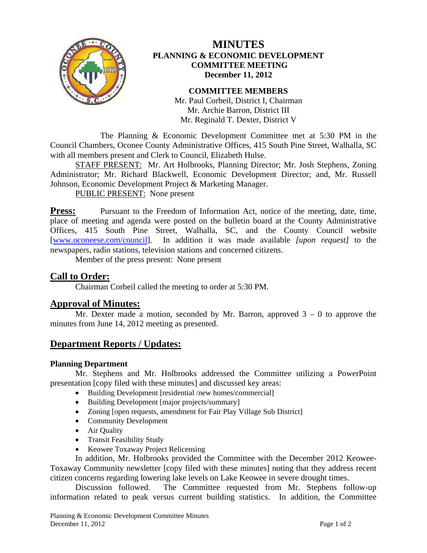

# **MINUTES PLANNING & ECONOMIC DEVELOPMENT COMMITTEE MEETING December 11, 2012**

#### **COMMITTEE MEMBERS**

Mr. Paul Corbeil, District I, Chairman Mr. Archie Barron, District III Mr. Reginald T. Dexter, District V

 The Planning & Economic Development Committee met at 5:30 PM in the Council Chambers, Oconee County Administrative Offices, 415 South Pine Street, Walhalla, SC with all members present and Clerk to Council, Elizabeth Hulse.

 STAFF PRESENT: Mr. Art Holbrooks, Planning Director; Mr. Josh Stephens, Zoning Administrator; Mr. Richard Blackwell, Economic Development Director; and, Mr. Russell Johnson, Economic Development Project & Marketing Manager.

PUBLIC PRESENT: None present

**Press:** Pursuant to the Freedom of Information Act, notice of the meeting, date, time, place of meeting and agenda were posted on the bulletin board at the County Administrative Offices, 415 South Pine Street, Walhalla, SC, and the County Council website [www.oconeese.com/council]. In addition it was made available *[upon request]* to the newspapers, radio stations, television stations and concerned citizens.

Member of the press present: None present

## **Call to Order:**

Chairman Corbeil called the meeting to order at 5:30 PM.

# **Approval of Minutes:**

Mr. Dexter made a motion, seconded by Mr. Barron, approved  $3 - 0$  to approve the minutes from June 14, 2012 meeting as presented.

# **Department Reports / Updates:**

#### **Planning Department**

 Mr. Stephens and Mr. Holbrooks addressed the Committee utilizing a PowerPoint presentation [copy filed with these minutes] and discussed key areas:

- Building Development [residential /new homes/commercial]
- Building Development [major projects/summary]
- Zoning [open requests, amendment for Fair Play Village Sub District]
- Community Development
- Air Quality
- Transit Feasibility Study
- Keowee Toxaway Project Relicensing

In addition, Mr. Holbrooks provided the Committee with the December 2012 Keowee-Toxaway Community newsletter [copy filed with these minutes] noting that they address recent citizen concerns regarding lowering lake levels on Lake Keowee in severe drought times.

Discussion followed. The Committee requested from Mr. Stephens follow-up information related to peak versus current building statistics. In addition, the Committee